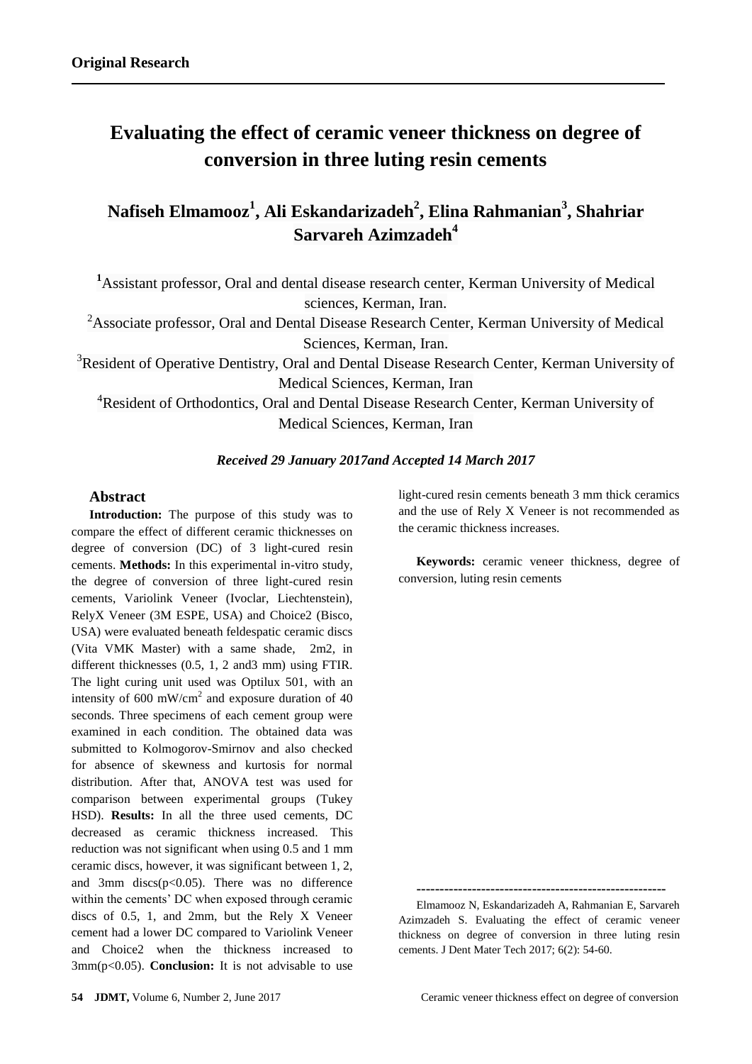# **Evaluating the effect of ceramic veneer thickness on degree of conversion in three luting resin cements**

## **Nafiseh Elmamooz<sup>1</sup> , Ali Eskandarizadeh<sup>2</sup> , Elina Rahmanian<sup>3</sup> , Shahriar Sarvareh Azimzadeh<sup>4</sup>**

**<sup>1</sup>**Assistant professor, Oral and dental disease research center, Kerman University of Medical sciences, Kerman, Iran.

<sup>2</sup>Associate professor, Oral and Dental Disease Research Center, Kerman University of Medical Sciences, Kerman, Iran.

<sup>3</sup>Resident of Operative Dentistry, Oral and Dental Disease Research Center, Kerman University of Medical Sciences, Kerman, Iran

<sup>4</sup>Resident of Orthodontics, Oral and Dental Disease Research Center, Kerman University of Medical Sciences, Kerman, Iran

#### *Received 29 January 2017and Accepted 14 March 2017*

## **Abstract**

**Introduction:** The purpose of this study was to compare the effect of different ceramic thicknesses on degree of conversion (DC) of 3 light-cured resin cements. **Methods:** In this experimental in-vitro study, the degree of conversion of three light-cured resin cements, Variolink Veneer (Ivoclar, Liechtenstein), RelyX Veneer (3M ESPE, USA) and Choice2 (Bisco, USA) were evaluated beneath feldespatic ceramic discs (Vita VMK Master) with a same shade, 2m2, in different thicknesses (0.5, 1, 2 and3 mm) using FTIR. The light curing unit used was Optilux 501, with an intensity of 600 mW/cm<sup>2</sup> and exposure duration of 40 seconds. Three specimens of each cement group were examined in each condition. The obtained data was submitted to Kolmogorov-Smirnov and also checked for absence of skewness and kurtosis for normal distribution. After that, ANOVA test was used for comparison between experimental groups (Tukey HSD). **Results:** In all the three used cements, DC decreased as ceramic thickness increased. This reduction was not significant when using 0.5 and 1 mm ceramic discs, however, it was significant between 1, 2, and 3mm discs $(p<0.05)$ . There was no difference within the cements' DC when exposed through ceramic discs of 0.5, 1, and 2mm, but the Rely X Veneer cement had a lower DC compared to Variolink Veneer and Choice2 when the thickness increased to 3mm(p<0.05). **Conclusion:** It is not advisable to use light-cured resin cements beneath 3 mm thick ceramics and the use of Rely X Veneer is not recommended as the ceramic thickness increases.

**Keywords:** ceramic veneer thickness, degree of conversion, luting resin cements

**------------------------------------------------------**

Elmamooz N, Eskandarizadeh A, Rahmanian E, Sarvareh Azimzadeh S. Evaluating the effect of ceramic veneer thickness on degree of conversion in three luting resin cements. J Dent Mater Tech 2017; 6(2): 54-60.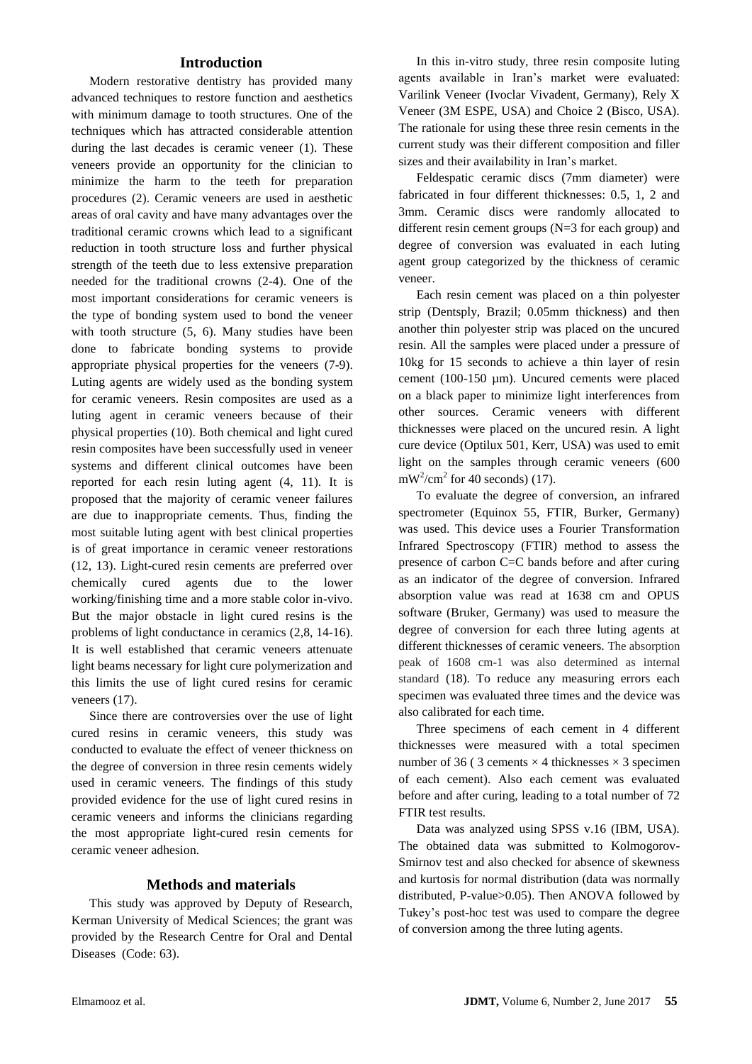## **Introduction**

Modern restorative dentistry has provided many advanced techniques to restore function and aesthetics with minimum damage to tooth structures. One of the techniques which has attracted considerable attention during the last decades is ceramic veneer [\(1\)](file:///C:/Users/fouladif1/AppData/Local/Temp/Evaluating%20the%20effect%20of%20Ceramic%20veneer%20thickness%20on%20Degree%20of%20conversion%20in%20three%20luting%20resin%20cements%20rewised.docx%23_ENREF_1). These veneers provide an opportunity for the clinician to minimize the harm to the teeth for preparation procedures [\(2\)](file:///C:/Users/fouladif1/AppData/Local/Temp/Evaluating%20the%20effect%20of%20Ceramic%20veneer%20thickness%20on%20Degree%20of%20conversion%20in%20three%20luting%20resin%20cements%20rewised.docx%23_ENREF_2). Ceramic veneers are used in aesthetic areas of oral cavity and have many advantages over the traditional ceramic crowns which lead to a significant reduction in tooth structure loss and further physical strength of the teeth due to less extensive preparation needed for the traditional crowns [\(2-4\)](file:///C:/Users/fouladif1/AppData/Local/Temp/Evaluating%20the%20effect%20of%20Ceramic%20veneer%20thickness%20on%20Degree%20of%20conversion%20in%20three%20luting%20resin%20cements%20rewised.docx%23_ENREF_2). One of the most important considerations for ceramic veneers is the type of bonding system used to bond the veneer with tooth structure [\(5,](file:///C:/Users/fouladif1/AppData/Local/Temp/Evaluating%20the%20effect%20of%20Ceramic%20veneer%20thickness%20on%20Degree%20of%20conversion%20in%20three%20luting%20resin%20cements%20rewised.docx%23_ENREF_5) [6\)](file:///C:/Users/fouladif1/AppData/Local/Temp/Evaluating%20the%20effect%20of%20Ceramic%20veneer%20thickness%20on%20Degree%20of%20conversion%20in%20three%20luting%20resin%20cements%20rewised.docx%23_ENREF_6). Many studies have been done to fabricate bonding systems to provide appropriate physical properties for the veneers [\(7-9\)](file:///C:/Users/fouladif1/AppData/Local/Temp/Evaluating%20the%20effect%20of%20Ceramic%20veneer%20thickness%20on%20Degree%20of%20conversion%20in%20three%20luting%20resin%20cements%20rewised.docx%23_ENREF_7). Luting agents are widely used as the bonding system for ceramic veneers. Resin composites are used as a luting agent in ceramic veneers because of their physical properties [\(10\)](file:///C:/Users/fouladif1/AppData/Local/Temp/Evaluating%20the%20effect%20of%20Ceramic%20veneer%20thickness%20on%20Degree%20of%20conversion%20in%20three%20luting%20resin%20cements%20rewised.docx%23_ENREF_10). Both chemical and light cured resin composites have been successfully used in veneer systems and different clinical outcomes have been reported for each resin luting agent [\(4,](file:///C:/Users/fouladif1/AppData/Local/Temp/Evaluating%20the%20effect%20of%20Ceramic%20veneer%20thickness%20on%20Degree%20of%20conversion%20in%20three%20luting%20resin%20cements%20rewised.docx%23_ENREF_4) [11\)](file:///C:/Users/fouladif1/AppData/Local/Temp/Evaluating%20the%20effect%20of%20Ceramic%20veneer%20thickness%20on%20Degree%20of%20conversion%20in%20three%20luting%20resin%20cements%20rewised.docx%23_ENREF_11). It is proposed that the majority of ceramic veneer failures are due to inappropriate cements. Thus, finding the most suitable luting agent with best clinical properties is of great importance in ceramic veneer restorations [\(12,](file:///C:/Users/fouladif1/AppData/Local/Temp/Evaluating%20the%20effect%20of%20Ceramic%20veneer%20thickness%20on%20Degree%20of%20conversion%20in%20three%20luting%20resin%20cements%20rewised.docx%23_ENREF_12) [13\)](file:///C:/Users/fouladif1/AppData/Local/Temp/Evaluating%20the%20effect%20of%20Ceramic%20veneer%20thickness%20on%20Degree%20of%20conversion%20in%20three%20luting%20resin%20cements%20rewised.docx%23_ENREF_13). Light-cured resin cements are preferred over chemically cured agents due to the lower working/finishing time and a more stable color in-vivo. But the major obstacle in light cured resins is the problems of light conductance in ceramics [\(2](file:///C:/Users/fouladif1/AppData/Local/Temp/Evaluating%20the%20effect%20of%20Ceramic%20veneer%20thickness%20on%20Degree%20of%20conversion%20in%20three%20luting%20resin%20cements%20rewised.docx%23_ENREF_2)[,8,](file:///C:/Users/fouladif1/AppData/Local/Temp/Evaluating%20the%20effect%20of%20Ceramic%20veneer%20thickness%20on%20Degree%20of%20conversion%20in%20three%20luting%20resin%20cements%20rewised.docx%23_ENREF_8) [14-16\)](file:///C:/Users/fouladif1/AppData/Local/Temp/Evaluating%20the%20effect%20of%20Ceramic%20veneer%20thickness%20on%20Degree%20of%20conversion%20in%20three%20luting%20resin%20cements%20rewised.docx%23_ENREF_14). It is well established that ceramic veneers attenuate light beams necessary for light cure polymerization and this limits the use of light cured resins for ceramic veneers [\(17\)](file:///C:/Users/fouladif1/AppData/Local/Temp/Evaluating%20the%20effect%20of%20Ceramic%20veneer%20thickness%20on%20Degree%20of%20conversion%20in%20three%20luting%20resin%20cements%20rewised.docx%23_ENREF_17).

Since there are controversies over the use of light cured resins in ceramic veneers, this study was conducted to evaluate the effect of veneer thickness on the degree of conversion in three resin cements widely used in ceramic veneers. The findings of this study provided evidence for the use of light cured resins in ceramic veneers and informs the clinicians regarding the most appropriate light-cured resin cements for ceramic veneer adhesion.

### **Methods and materials**

This study was approved by Deputy of Research, Kerman University of Medical Sciences; the grant was provided by the Research Centre for Oral and Dental Diseases (Code: 63).

In this in-vitro study, three resin composite luting agents available in Iran's market were evaluated: Varilink Veneer (Ivoclar Vivadent, Germany), Rely X Veneer (3M ESPE, USA) and Choice 2 (Bisco, USA). The rationale for using these three resin cements in the current study was their different composition and filler sizes and their availability in Iran's market.

Feldespatic ceramic discs (7mm diameter) were fabricated in four different thicknesses: 0.5, 1, 2 and 3mm. Ceramic discs were randomly allocated to different resin cement groups (N=3 for each group) and degree of conversion was evaluated in each luting agent group categorized by the thickness of ceramic veneer.

Each resin cement was placed on a thin polyester strip (Dentsply, Brazil; 0.05mm thickness) and then another thin polyester strip was placed on the uncured resin. All the samples were placed under a pressure of 10kg for 15 seconds to achieve a thin layer of resin cement (100-150 µm). Uncured cements were placed on a black paper to minimize light interferences from other sources. Ceramic veneers with different thicknesses were placed on the uncured resin. A light cure device (Optilux 501, Kerr, USA) was used to emit light on the samples through ceramic veneers (600  $mW^2/cm^2$  for 40 seconds) [\(17\)](file:///C:/Users/fouladif1/AppData/Local/Temp/Evaluating%20the%20effect%20of%20Ceramic%20veneer%20thickness%20on%20Degree%20of%20conversion%20in%20three%20luting%20resin%20cements%20rewised.docx%23_ENREF_17).

To evaluate the degree of conversion, an infrared spectrometer (Equinox 55, FTIR, Burker, Germany) was used. This device uses a Fourier Transformation Infrared Spectroscopy (FTIR) method to assess the presence of carbon C=C bands before and after curing as an indicator of the degree of conversion. Infrared absorption value was read at 1638 cm and OPUS software (Bruker, Germany) was used to measure the degree of conversion for each three luting agents at different thicknesses of ceramic veneers. The absorption peak of 1608 cm-1 was also determined as internal standard [\(18\)](file:///C:/Users/fouladif1/AppData/Local/Temp/Evaluating%20the%20effect%20of%20Ceramic%20veneer%20thickness%20on%20Degree%20of%20conversion%20in%20three%20luting%20resin%20cements%20rewised.docx%23_ENREF_18). To reduce any measuring errors each specimen was evaluated three times and the device was also calibrated for each time.

Three specimens of each cement in 4 different thicknesses were measured with a total specimen number of 36 (3 cements  $\times$  4 thicknesses  $\times$  3 specimen of each cement). Also each cement was evaluated before and after curing, leading to a total number of 72 FTIR test results.

Data was analyzed using SPSS v.16 (IBM, USA). The obtained data was submitted to Kolmogorov-Smirnov test and also checked for absence of skewness and kurtosis for normal distribution (data was normally distributed, P-value>0.05). Then ANOVA followed by Tukey's post-hoc test was used to compare the degree of conversion among the three luting agents.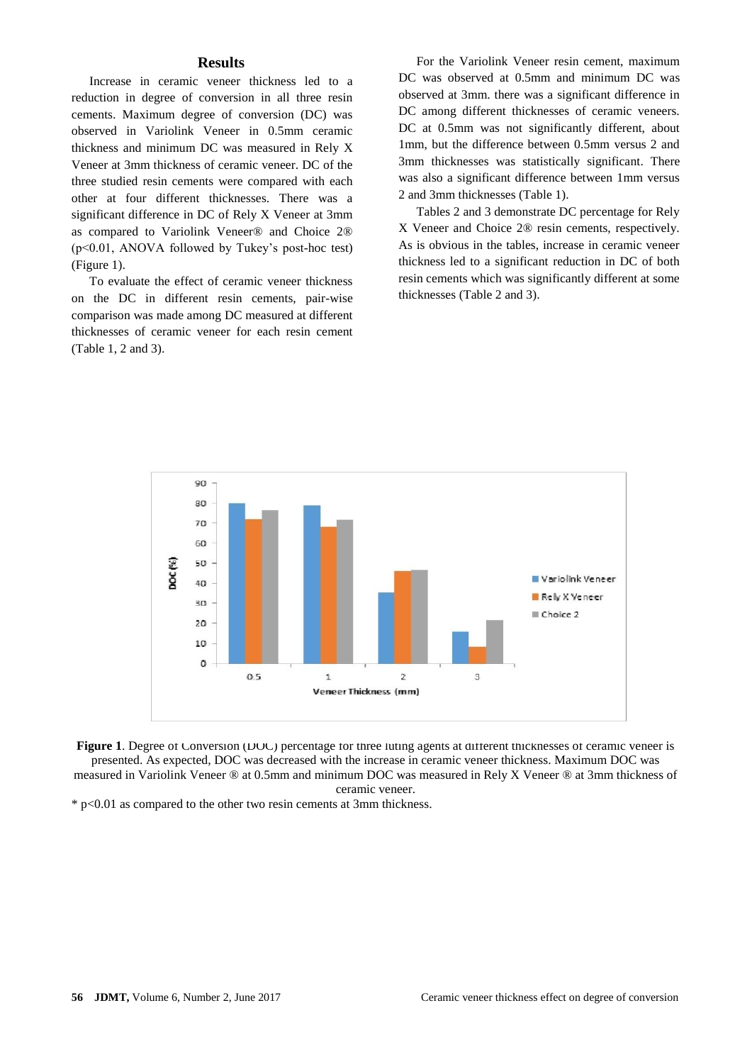### **Results**

Increase in ceramic veneer thickness led to a reduction in degree of conversion in all three resin cements. Maximum degree of conversion (DC) was observed in Variolink Veneer in 0.5mm ceramic thickness and minimum DC was measured in Rely X Veneer at 3mm thickness of ceramic veneer. DC of the three studied resin cements were compared with each other at four different thicknesses. There was a significant difference in DC of Rely X Veneer at 3mm as compared to Variolink Veneer® and Choice 2® (p<0.01, ANOVA followed by Tukey's post-hoc test) (Figure 1).

To evaluate the effect of ceramic veneer thickness on the DC in different resin cements, pair-wise comparison was made among DC measured at different thicknesses of ceramic veneer for each resin cement (Table 1, 2 and 3).

For the Variolink Veneer resin cement, maximum DC was observed at 0.5mm and minimum DC was observed at 3mm. there was a significant difference in DC among different thicknesses of ceramic veneers. DC at 0.5mm was not significantly different, about 1mm, but the difference between 0.5mm versus 2 and 3mm thicknesses was statistically significant. There was also a significant difference between 1mm versus 2 and 3mm thicknesses (Table 1).

Tables 2 and 3 demonstrate DC percentage for Rely X Veneer and Choice 2® resin cements, respectively. As is obvious in the tables, increase in ceramic veneer thickness led to a significant reduction in DC of both resin cements which was significantly different at some thicknesses (Table 2 and 3).



**Figure 1.** Degree of Conversion (DOC) percentage for three luting agents at different thicknesses of ceramic veneer is presented. As expected, DOC was decreased with the increase in ceramic veneer thickness. Maximum DOC was measured in Variolink Veneer ® at 0.5mm and minimum DOC was measured in Rely X Veneer ® at 3mm thickness of ceramic veneer.

 $*$  p<0.01 as compared to the other two resin cements at 3mm thickness.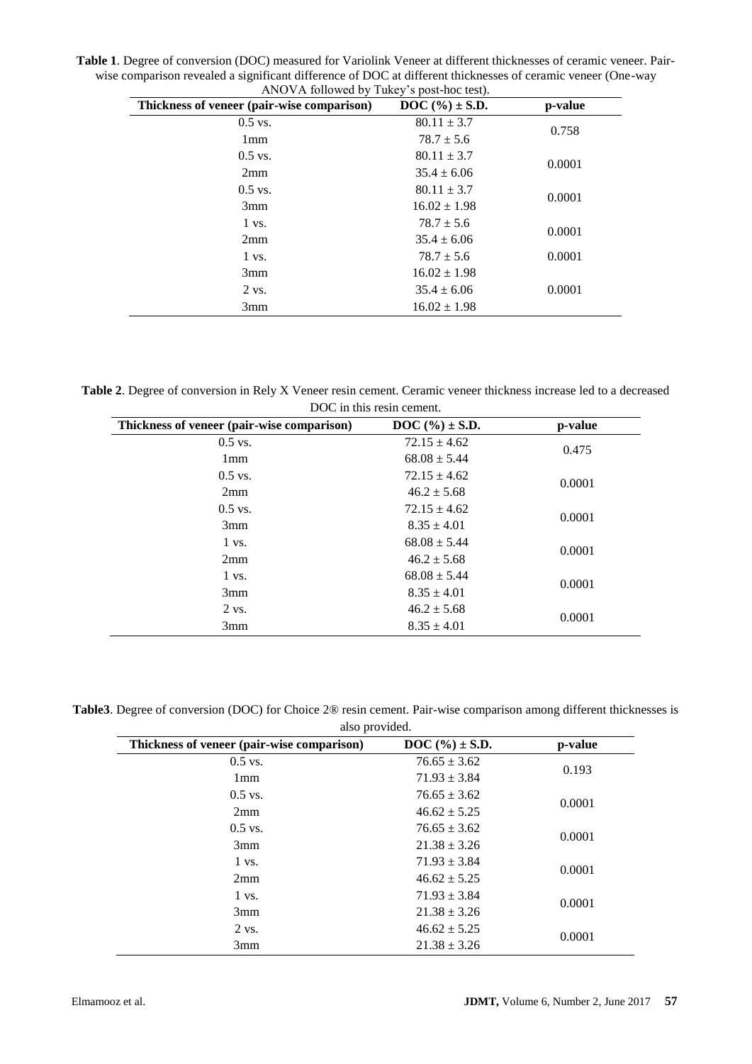**Table 1**. Degree of conversion (DOC) measured for Variolink Veneer at different thicknesses of ceramic veneer. Pairwise comparison revealed a significant difference of DOC at different thicknesses of ceramic veneer (One-way ANOVA followed by Tukey's post-hoc test).

| Thickness of veneer (pair-wise comparison) | <b>DOC</b> $(\%) \pm S.D.$ | p-value |
|--------------------------------------------|----------------------------|---------|
| $0.5$ vs.                                  | $80.11 \pm 3.7$            | 0.758   |
| 1 <sub>mm</sub>                            | $78.7 \pm 5.6$             |         |
| $0.5$ vs.                                  | $80.11 \pm 3.7$            | 0.0001  |
| 2mm                                        | $35.4 \pm 6.06$            |         |
| $0.5$ vs.                                  | $80.11 \pm 3.7$            | 0.0001  |
| 3mm                                        | $16.02 \pm 1.98$           |         |
| $1 \text{ vs.}$                            | $78.7 \pm 5.6$             | 0.0001  |
| 2mm                                        | $35.4 \pm 6.06$            |         |
| $1 \text{ vs.}$                            | $78.7 \pm 5.6$             | 0.0001  |
| 3mm                                        | $16.02 \pm 1.98$           |         |
| $2$ vs.                                    | $35.4 \pm 6.06$            | 0.0001  |
| 3mm                                        | $16.02 \pm 1.98$           |         |

**Table 2**. Degree of conversion in Rely X Veneer resin cement. Ceramic veneer thickness increase led to a decreased DOC in this resin cement.

| Thickness of veneer (pair-wise comparison) | <b>DOC</b> $(\%) \pm S.D.$ | p-value |
|--------------------------------------------|----------------------------|---------|
| $0.5$ vs.                                  | $72.15 \pm 4.62$           | 0.475   |
| 1 <sub>mm</sub>                            | $68.08 \pm 5.44$           |         |
| $0.5$ vs.                                  | $72.15 \pm 4.62$           | 0.0001  |
| 2mm                                        | $46.2 \pm 5.68$            |         |
| $0.5$ vs.                                  | $72.15 \pm 4.62$           | 0.0001  |
| 3mm                                        | $8.35 \pm 4.01$            |         |
| 1 vs.                                      | $68.08 \pm 5.44$           | 0.0001  |
| 2mm                                        | $46.2 \pm 5.68$            |         |
| $1 \text{ vs.}$                            | $68.08 \pm 5.44$           | 0.0001  |
| 3mm                                        | $8.35 \pm 4.01$            |         |
| 2 vs.                                      | $46.2 \pm 5.68$            | 0.0001  |
| 3mm                                        | $8.35 \pm 4.01$            |         |

| Table3. Degree of conversion (DOC) for Choice 2® resin cement. Pair-wise comparison among different thicknesses is |
|--------------------------------------------------------------------------------------------------------------------|
| also provided.                                                                                                     |

| Thickness of veneer (pair-wise comparison) | <b>DOC</b> $(\%) \pm S.D.$ | p-value |
|--------------------------------------------|----------------------------|---------|
| $0.5$ vs.                                  | $76.65 \pm 3.62$           | 0.193   |
| 1mm                                        | $71.93 \pm 3.84$           |         |
| $0.5$ vs.                                  | $76.65 \pm 3.62$           | 0.0001  |
| 2mm                                        | $46.62 \pm 5.25$           |         |
| $0.5$ vs.                                  | $76.65 \pm 3.62$           | 0.0001  |
| 3mm                                        | $21.38 \pm 3.26$           |         |
| $1$ vs.                                    | $71.93 \pm 3.84$           | 0.0001  |
| 2mm                                        | $46.62 \pm 5.25$           |         |
| $1 \text{ vs.}$                            | $71.93 \pm 3.84$           | 0.0001  |
| 3mm                                        | $21.38 \pm 3.26$           |         |
| 2 vs.                                      | $46.62 \pm 5.25$           | 0.0001  |
| 3mm                                        | $21.38 \pm 3.26$           |         |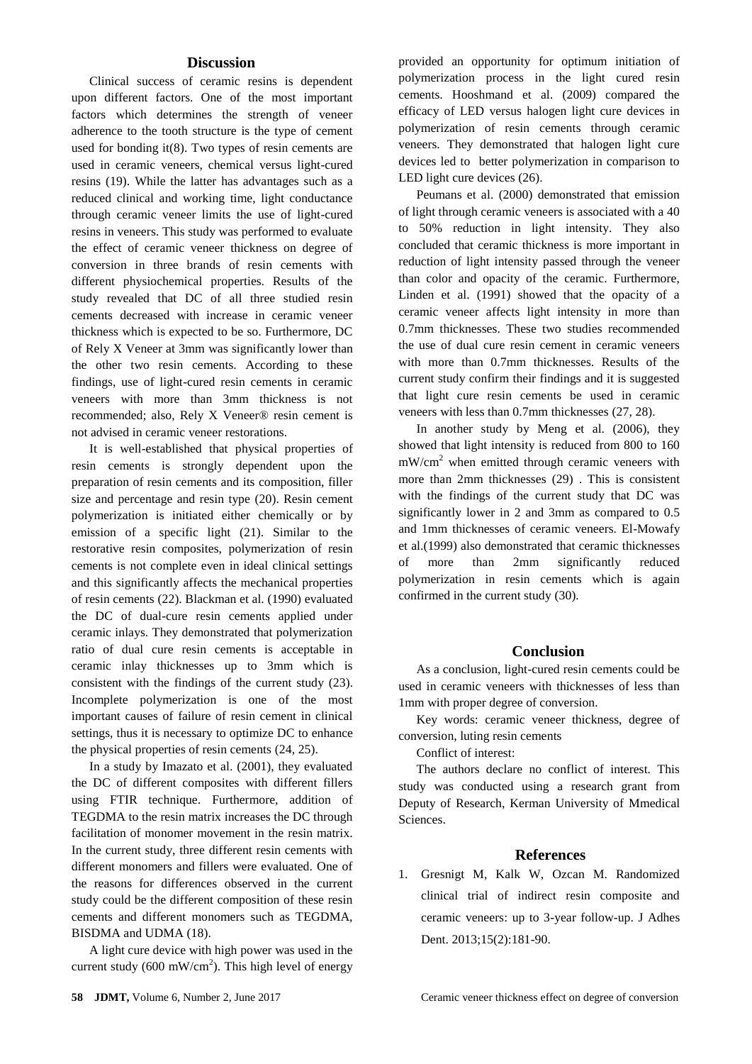### **Discussion**

Clinical success of ceramic resins is dependent upon different factors. One of the most important factors which determines the strength of veneer adherence to the tooth structure is the type of cement used for bonding it[\(8\)](file:///C:/Users/fouladif1/AppData/Local/Temp/Evaluating%20the%20effect%20of%20Ceramic%20veneer%20thickness%20on%20Degree%20of%20conversion%20in%20three%20luting%20resin%20cements%20rewised.docx%23_ENREF_8). Two types of resin cements are used in ceramic veneers, chemical versus light-cured resins [\(19\)](file:///C:/Users/fouladif1/AppData/Local/Temp/Evaluating%20the%20effect%20of%20Ceramic%20veneer%20thickness%20on%20Degree%20of%20conversion%20in%20three%20luting%20resin%20cements%20rewised.docx%23_ENREF_19). While the latter has advantages such as a reduced clinical and working time, light conductance through ceramic veneer limits the use of light-cured resins in veneers. This study was performed to evaluate the effect of ceramic veneer thickness on degree of conversion in three brands of resin cements with different physiochemical properties. Results of the study revealed that DC of all three studied resin cements decreased with increase in ceramic veneer thickness which is expected to be so. Furthermore, DC of Rely X Veneer at 3mm was significantly lower than the other two resin cements. According to these findings, use of light-cured resin cements in ceramic veneers with more than 3mm thickness is not recommended; also, Rely X Veneer® resin cement is not advised in ceramic veneer restorations.

It is well-established that physical properties of resin cements is strongly dependent upon the preparation of resin cements and its composition, filler size and percentage and resin type [\(20\)](file:///C:/Users/fouladif1/AppData/Local/Temp/Evaluating%20the%20effect%20of%20Ceramic%20veneer%20thickness%20on%20Degree%20of%20conversion%20in%20three%20luting%20resin%20cements%20rewised.docx%23_ENREF_20). Resin cement polymerization is initiated either chemically or by emission of a specific light [\(21\)](file:///C:/Users/fouladif1/AppData/Local/Temp/Evaluating%20the%20effect%20of%20Ceramic%20veneer%20thickness%20on%20Degree%20of%20conversion%20in%20three%20luting%20resin%20cements%20rewised.docx%23_ENREF_21). Similar to the restorative resin composites, polymerization of resin cements is not complete even in ideal clinical settings and this significantly affects the mechanical properties of resin cements [\(22\)](file:///C:/Users/fouladif1/AppData/Local/Temp/Evaluating%20the%20effect%20of%20Ceramic%20veneer%20thickness%20on%20Degree%20of%20conversion%20in%20three%20luting%20resin%20cements%20rewised.docx%23_ENREF_22). Blackman et al. (1990) evaluated the DC of dual-cure resin cements applied under ceramic inlays. They demonstrated that polymerization ratio of dual cure resin cements is acceptable in ceramic inlay thicknesses up to 3mm which is consistent with the findings of the current study [\(23\)](file:///C:/Users/fouladif1/AppData/Local/Temp/Evaluating%20the%20effect%20of%20Ceramic%20veneer%20thickness%20on%20Degree%20of%20conversion%20in%20three%20luting%20resin%20cements%20rewised.docx%23_ENREF_23). Incomplete polymerization is one of the most important causes of failure of resin cement in clinical settings, thus it is necessary to optimize DC to enhance the physical properties of resin cements [\(24,](file:///C:/Users/fouladif1/AppData/Local/Temp/Evaluating%20the%20effect%20of%20Ceramic%20veneer%20thickness%20on%20Degree%20of%20conversion%20in%20three%20luting%20resin%20cements%20rewised.docx%23_ENREF_24) [25\)](file:///C:/Users/fouladif1/AppData/Local/Temp/Evaluating%20the%20effect%20of%20Ceramic%20veneer%20thickness%20on%20Degree%20of%20conversion%20in%20three%20luting%20resin%20cements%20rewised.docx%23_ENREF_25).

In a study by Imazato et al. (2001), they evaluated the DC of different composites with different fillers using FTIR technique. Furthermore, addition of TEGDMA to the resin matrix increases the DC through facilitation of monomer movement in the resin matrix. In the current study, three different resin cements with different monomers and fillers were evaluated. One of the reasons for differences observed in the current study could be the different composition of these resin cements and different monomers such as TEGDMA, BISDMA and UDMA [\(18\)](file:///C:/Users/fouladif1/AppData/Local/Temp/Evaluating%20the%20effect%20of%20Ceramic%20veneer%20thickness%20on%20Degree%20of%20conversion%20in%20three%20luting%20resin%20cements%20rewised.docx%23_ENREF_18).

A light cure device with high power was used in the current study (600 mW/cm<sup>2</sup>). This high level of energy provided an opportunity for optimum initiation of polymerization process in the light cured resin cements. Hooshmand et al. (2009) compared the efficacy of LED versus halogen light cure devices in polymerization of resin cements through ceramic veneers. They demonstrated that halogen light cure devices led to better polymerization in comparison to LED light cure devices [\(26\)](file:///C:/Users/fouladif1/AppData/Local/Temp/Evaluating%20the%20effect%20of%20Ceramic%20veneer%20thickness%20on%20Degree%20of%20conversion%20in%20three%20luting%20resin%20cements%20rewised.docx%23_ENREF_26).

Peumans et al. (2000) demonstrated that emission of light through ceramic veneers is associated with a 40 to 50% reduction in light intensity. They also concluded that ceramic thickness is more important in reduction of light intensity passed through the veneer than color and opacity of the ceramic. Furthermore, Linden et al. (1991) showed that the opacity of a ceramic veneer affects light intensity in more than 0.7mm thicknesses. These two studies recommended the use of dual cure resin cement in ceramic veneers with more than 0.7mm thicknesses. Results of the current study confirm their findings and it is suggested that light cure resin cements be used in ceramic veneers with less than 0.7mm thicknesses [\(27,](file:///C:/Users/fouladif1/AppData/Local/Temp/Evaluating%20the%20effect%20of%20Ceramic%20veneer%20thickness%20on%20Degree%20of%20conversion%20in%20three%20luting%20resin%20cements%20rewised.docx%23_ENREF_27) [28\)](file:///C:/Users/fouladif1/AppData/Local/Temp/Evaluating%20the%20effect%20of%20Ceramic%20veneer%20thickness%20on%20Degree%20of%20conversion%20in%20three%20luting%20resin%20cements%20rewised.docx%23_ENREF_28).

In another study by Meng et al. (2006), they showed that light intensity is reduced from 800 to 160  $mW/cm<sup>2</sup>$  when emitted through ceramic veneers with more than 2mm thicknesses [\(29\)](file:///C:/Users/fouladif1/AppData/Local/Temp/Evaluating%20the%20effect%20of%20Ceramic%20veneer%20thickness%20on%20Degree%20of%20conversion%20in%20three%20luting%20resin%20cements%20rewised.docx%23_ENREF_29) . This is consistent with the findings of the current study that DC was significantly lower in 2 and 3mm as compared to 0.5 and 1mm thicknesses of ceramic veneers. El-Mowafy et al.(1999) also demonstrated that ceramic thicknesses of more than 2mm significantly reduced polymerization in resin cements which is again confirmed in the current study [\(30\)](file:///C:/Users/fouladif1/AppData/Local/Temp/Evaluating%20the%20effect%20of%20Ceramic%20veneer%20thickness%20on%20Degree%20of%20conversion%20in%20three%20luting%20resin%20cements%20rewised.docx%23_ENREF_30).

#### **Conclusion**

As a conclusion, light-cured resin cements could be used in ceramic veneers with thicknesses of less than 1mm with proper degree of conversion.

Key words: ceramic veneer thickness, degree of conversion, luting resin cements

Conflict of interest:

The authors declare no conflict of interest. This study was conducted using a research grant from Deputy of Research, Kerman University of Mmedical Sciences.

#### **References**

1. Gresnigt M, Kalk W, Ozcan M. Randomized clinical trial of indirect resin composite and ceramic veneers: up to 3-year follow-up. J Adhes Dent. 2013;15(2):181-90.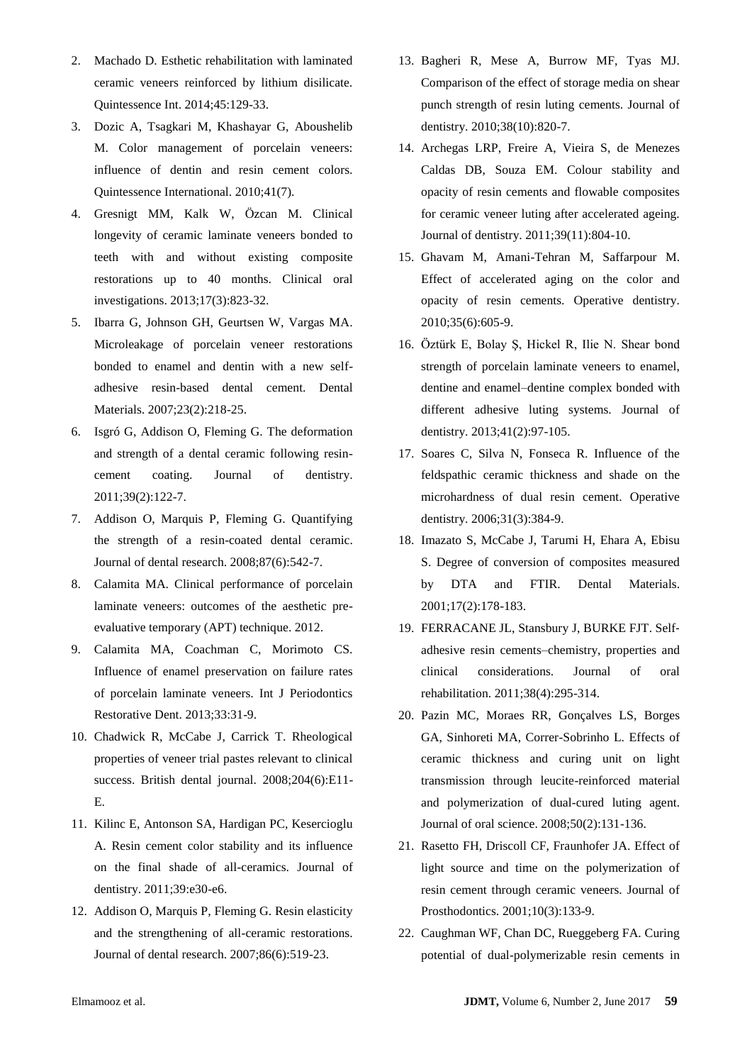- 2. Machado D. Esthetic rehabilitation with laminated ceramic veneers reinforced by lithium disilicate. Quintessence Int. 2014;45:129-33.
- 3. Dozic A, Tsagkari M, Khashayar G, Aboushelib M. Color management of porcelain veneers: influence of dentin and resin cement colors. Quintessence International. 2010;41(7).
- 4. Gresnigt MM, Kalk W, Özcan M. Clinical longevity of ceramic laminate veneers bonded to teeth with and without existing composite restorations up to 40 months. Clinical oral investigations. 2013;17(3):823-32.
- 5. Ibarra G, Johnson GH, Geurtsen W, Vargas MA. Microleakage of porcelain veneer restorations bonded to enamel and dentin with a new selfadhesive resin-based dental cement. Dental Materials. 2007;23(2):218-25.
- 6. Isgró G, Addison O, Fleming G. The deformation and strength of a dental ceramic following resincement coating. Journal of dentistry. 2011;39(2):122-7.
- 7. Addison O, Marquis P, Fleming G. Quantifying the strength of a resin-coated dental ceramic. Journal of dental research. 2008;87(6):542-7.
- 8. Calamita MA. Clinical performance of porcelain laminate veneers: outcomes of the aesthetic preevaluative temporary (APT) technique. 2012.
- 9. Calamita MA, Coachman C, Morimoto CS. Influence of enamel preservation on failure rates of porcelain laminate veneers. Int J Periodontics Restorative Dent. 2013;33:31-9.
- 10. Chadwick R, McCabe J, Carrick T. Rheological properties of veneer trial pastes relevant to clinical success. British dental journal. 2008;204(6):E11- E.
- 11. Kilinc E, Antonson SA, Hardigan PC, Kesercioglu A. Resin cement color stability and its influence on the final shade of all-ceramics. Journal of dentistry. 2011;39:e30-e6.
- 12. Addison O, Marquis P, Fleming G. Resin elasticity and the strengthening of all-ceramic restorations. Journal of dental research. 2007;86(6):519-23.
- 13. Bagheri R, Mese A, Burrow MF, Tyas MJ. Comparison of the effect of storage media on shear punch strength of resin luting cements. Journal of dentistry. 2010;38(10):820-7.
- 14. Archegas LRP, Freire A, Vieira S, de Menezes Caldas DB, Souza EM. Colour stability and opacity of resin cements and flowable composites for ceramic veneer luting after accelerated ageing. Journal of dentistry. 2011;39(11):804-10.
- 15. Ghavam M, Amani-Tehran M, Saffarpour M. Effect of accelerated aging on the color and opacity of resin cements. Operative dentistry. 2010;35(6):605-9.
- 16. Öztürk E, Bolay Ş, Hickel R, Ilie N. Shear bond strength of porcelain laminate veneers to enamel, dentine and enamel–dentine complex bonded with different adhesive luting systems. Journal of dentistry. 2013;41(2):97-105.
- 17. Soares C, Silva N, Fonseca R. Influence of the feldspathic ceramic thickness and shade on the microhardness of dual resin cement. Operative dentistry. 2006;31(3):384-9.
- 18. Imazato S, McCabe J, Tarumi H, Ehara A, Ebisu S. Degree of conversion of composites measured by DTA and FTIR. Dental Materials. 2001;17(2):178-183.
- 19. FERRACANE JL, Stansbury J, BURKE FJT. Self‐ adhesive resin cements–chemistry, properties and clinical considerations. Journal of oral rehabilitation. 2011;38(4):295-314.
- 20. Pazin MC, Moraes RR, Gonçalves LS, Borges GA, Sinhoreti MA, Correr-Sobrinho L. Effects of ceramic thickness and curing unit on light transmission through leucite-reinforced material and polymerization of dual-cured luting agent. Journal of oral science. 2008;50(2):131-136.
- 21. Rasetto FH, Driscoll CF, Fraunhofer JA. Effect of light source and time on the polymerization of resin cement through ceramic veneers. Journal of Prosthodontics. 2001;10(3):133-9.
- 22. Caughman WF, Chan DC, Rueggeberg FA. Curing potential of dual-polymerizable resin cements in